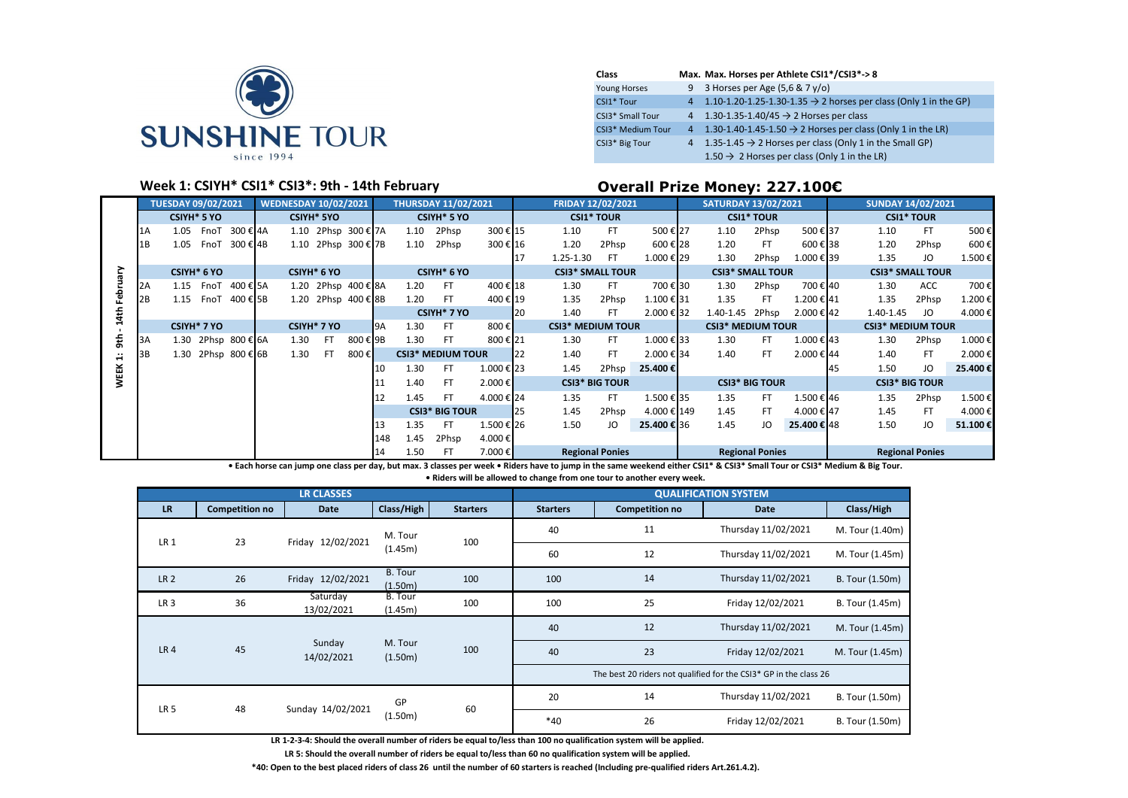

| Class               | Max. Max. Horses per Athlete CSI1*/CSI3*->8                                    |
|---------------------|--------------------------------------------------------------------------------|
| <b>Young Horses</b> | 9 3 Horses per Age $(5.6 & 7y/o)$                                              |
| CSI1* Tour          | 4 1.10-1.20-1.25-1.30-1.35 $\rightarrow$ 2 horses per class (Only 1 in the GP) |
| CSI3* Small Tour    | 4 1.30-1.35-1.40/45 $\rightarrow$ 2 Horses per class                           |
| CSI3* Medium Tour   | 4 1.30-1.40-1.45-1.50 $\rightarrow$ 2 Horses per class (Only 1 in the LR)      |
| CSI3* Big Tour      | 4 1.35-1.45 $\rightarrow$ 2 Horses per class (Only 1 in the Small GP)          |
|                     | $1.50 \rightarrow 2$ Horses per class (Only 1 in the LR)                       |

## **Week 1: CSIYH<sup>\*</sup> CSI1<sup>\*</sup> CSI3<sup>\*</sup>: 9th - 14th February <b>Democent Convertsuary Overall Prize Money: 227.100€**

|             | <b>TUESDAY 09/02/2021</b><br><b>WEDNESDAY 10/02/2021</b><br><b>CSIYH* 5 YO</b><br><b>CSIYH* 5YO</b> |             |      |                     |  |      |             |                     | <b>THURSDAY 11/02/2021</b> |      |                          | <b>FRIDAY 12/02/2021</b> |    |                          | <b>SATURDAY 13/02/2021</b> |             |                          | <b>SUNDAY 14/02/2021</b> |            |            |                          |         |
|-------------|-----------------------------------------------------------------------------------------------------|-------------|------|---------------------|--|------|-------------|---------------------|----------------------------|------|--------------------------|--------------------------|----|--------------------------|----------------------------|-------------|--------------------------|--------------------------|------------|------------|--------------------------|---------|
|             |                                                                                                     |             |      |                     |  |      |             |                     |                            |      | <b>CSIYH* 5 YO</b>       |                          |    | <b>CSI1* TOUR</b>        |                            |             |                          | <b>CSI1* TOUR</b>        |            |            | <b>CSI1* TOUR</b>        |         |
|             | 1Α                                                                                                  | 1.05        | FnoT | 300 € 4A            |  |      |             | 1.10 2Phsp 300 € 7A |                            | 1.10 | 2Phsp                    | 300€ 15                  |    | 1.10                     | <b>FT</b>                  | 500€27      | 1.10                     | 2Phsp                    | 500€37     | 1.10       | FT.                      | 500€    |
|             | 1B                                                                                                  | 1.05        | FnoT | 300 € 4B            |  |      |             | 1.10 2Phsp 300 € 7B |                            | 1.10 | 2Phsp                    | 300€ 16                  |    | 1.20                     | 2Phsp                      | 600€ 28     | 1.20                     | <b>FT</b>                | 600€38     | 1.20       | 2Phsp                    | 600€    |
|             |                                                                                                     |             |      |                     |  |      |             |                     |                            |      |                          |                          |    | 1.25-1.30                | FT                         | 1.000€29    | 1.30                     | 2Phsp                    | 1.000 € 39 | 1.35       | JO                       | 1.500€  |
| ξ           |                                                                                                     | CSIYH* 6 YO |      |                     |  |      | CSIYH* 6 YO |                     |                            |      | CSIYH* 6 YO              |                          |    | <b>CSI3* SMALL TOUR</b>  |                            |             | <b>CSI3* SMALL TOUR</b>  |                          |            |            | <b>CSI3* SMALL TOUR</b>  |         |
| Febru       | 2A                                                                                                  | 1.15        | FnoT | 400 € 5A            |  |      |             | 1.20 2Phsp 400 € 8A |                            | 1.20 | FT                       | 400€ 18                  |    | 1.30                     | FT.                        | 700€30      | 1.30                     | 2Phsp                    | 700 € 40   | 1.30       | ACC                      | 700€    |
|             | 2В                                                                                                  | 1.15        | FnoT | 400 € 5B            |  |      |             | 1.20 2Phsp 400 € 8B |                            | 1.20 | <b>FT</b>                | 400€ 19                  |    | 1.35                     | 2Phsp                      | 1.100 € 31  | 1.35                     | <b>FT</b>                | 1.200 € 41 | 1.35       | 2Phsp                    | 1.200€  |
| 14th        |                                                                                                     |             |      |                     |  |      |             |                     |                            |      | CSIYH* 7 YO              |                          | 20 | 1.40                     | FT.                        | 2.000 € 32  | 1.40-1.45                | 2Phsp                    | 2.000 € 42 | 1.40-1.45  | JO                       | 4.000€  |
|             |                                                                                                     | CSIYH* 7 YO |      |                     |  |      | CSIYH* 7 YO |                     | I <sub>9A</sub>            | 1.30 | FT                       | 800€                     |    | <b>CSI3* MEDIUM TOUR</b> |                            |             | <b>CSI3* MEDIUM TOUR</b> |                          |            |            | <b>CSI3* MEDIUM TOUR</b> |         |
| 9th         | 3A                                                                                                  |             |      | 1.30 2Phsp 800 € 6A |  | 1.30 | FT.         | 800 € 9B            |                            | 1.30 | <b>FT</b>                | 800€21                   |    | 1.30                     | FT.                        | 1.000 € 33  | 1.30                     | FT                       | 1.000 € 43 | 1.30       | 2Phsp                    | 1.000€  |
| ÷           | 3B                                                                                                  |             |      | 1.30 2Phsp 800 € 6B |  | 1.30 | FT.         | 800€                |                            |      | <b>CSI3* MEDIUM TOUR</b> |                          | 22 | 1.40                     | FT                         | 2.000 € 34  | 1.40                     | FT                       | 2.000 € 44 | 1.40       | FT                       | 2.000€  |
| <b>WEEK</b> |                                                                                                     |             |      |                     |  |      |             |                     | 10                         | 1.30 | FT                       | 1.000€23                 |    | 1.45                     | 2Phsp                      | 25.400€     |                          |                          |            | 1.50<br>45 | JO                       | 25.400€ |
|             |                                                                                                     |             |      |                     |  |      |             |                     |                            | 1.40 | FT                       | 2.000 €                  |    | <b>CSI3* BIG TOUR</b>    |                            |             |                          | <b>CSI3* BIG TOUR</b>    |            |            | <b>CSI3* BIG TOUR</b>    |         |
|             |                                                                                                     |             |      |                     |  |      |             |                     | 12                         | 1.45 | FT                       | 4.000 € 24               |    | 1.35                     | <b>FT</b>                  | 1.500 € 35  | 1.35                     | FT                       | 1.500 € 46 | 1.35       | 2Phsp                    | 1.500€  |
|             |                                                                                                     |             |      |                     |  |      |             |                     |                            |      | <b>CSI3* BIG TOUR</b>    |                          | 25 | 1.45                     | 2Phsp                      | 4.000 € 149 | 1.45                     | FT                       | 4.000 € 47 | 1.45       | FT                       | 4.000€  |
|             |                                                                                                     |             |      |                     |  |      |             |                     | 13                         | 1.35 | <b>FT</b>                | 1.500 € 26               |    | 1.50                     | JO                         | 25.400 € 36 | 1.45                     | JO                       | 25.400€48  | 1.50       | JO                       | 51.100€ |
|             |                                                                                                     |             |      |                     |  |      |             |                     | 148                        | 1.45 | 2Phsp                    | 4.000€                   |    |                          |                            |             |                          |                          |            |            |                          |         |
|             |                                                                                                     |             |      |                     |  |      |             |                     | 14                         | 1.50 | FT                       | 7.000€                   |    | <b>Regional Ponies</b>   |                            |             |                          | <b>Regional Ponies</b>   |            |            | <b>Regional Ponies</b>   |         |

**• Each horse can jump one class per day, but max. 3 classes per week • Riders have to jump in the same weekend either CSI1\* & CSI3\* Small Tour or CSI3\* Medium & Big Tour. • Riders will be allowed to change from one tour to another every week.**

|                 |                       | <b>LR CLASSES</b>      |                           |                 |                 |                       | <b>QUALIFICATION SYSTEM</b>                                       |                 |
|-----------------|-----------------------|------------------------|---------------------------|-----------------|-----------------|-----------------------|-------------------------------------------------------------------|-----------------|
| <b>LR</b>       | <b>Competition no</b> | <b>Date</b>            | Class/High                | <b>Starters</b> | <b>Starters</b> | <b>Competition no</b> | <b>Date</b>                                                       | Class/High      |
| LR <sub>1</sub> | 23                    | Friday 12/02/2021      | M. Tour                   | 100             | 40              | 11                    | Thursday 11/02/2021                                               | M. Tour (1.40m) |
|                 |                       |                        | (1.45m)                   |                 | 60              | 12                    | Thursday 11/02/2021                                               | M. Tour (1.45m) |
| LR <sub>2</sub> | 26                    | Friday 12/02/2021      | <b>B.</b> Tour<br>(1.50m) | 100             | 100             | 14                    | Thursday 11/02/2021                                               | B. Tour (1.50m) |
| LR <sub>3</sub> | 36                    | Saturday<br>13/02/2021 | B. Tour<br>(1.45m)        | 100             | 100             | 25                    | Friday 12/02/2021                                                 | B. Tour (1.45m) |
|                 |                       |                        |                           |                 | 40              | 12                    | Thursday 11/02/2021                                               | M. Tour (1.45m) |
| LR <sub>4</sub> | 45                    | Sunday<br>14/02/2021   | M. Tour<br>(1.50m)        | 100             | 40              | 23                    | Friday 12/02/2021                                                 | M. Tour (1.45m) |
|                 |                       |                        |                           |                 |                 |                       | The best 20 riders not qualified for the CSI3* GP in the class 26 |                 |
|                 | 48                    |                        | GP                        | 60              | 20              | 14                    | Thursday 11/02/2021                                               | B. Tour (1.50m) |
| LR <sub>5</sub> |                       | Sunday 14/02/2021      | (1.50m)                   |                 | $*40$           | 26                    | Friday 12/02/2021                                                 | B. Tour (1.50m) |

**LR 1-2-3-4: Should the overall number of riders be equal to/less than 100 no qualification system will be applied.**

**LR 5: Should the overall number of riders be equal to/less than 60 no qualification system will be applied.**

**\*40: Open to the best placed riders of class 26 until the number of 60 starters is reached (Including pre-qualified riders Art.261.4.2).**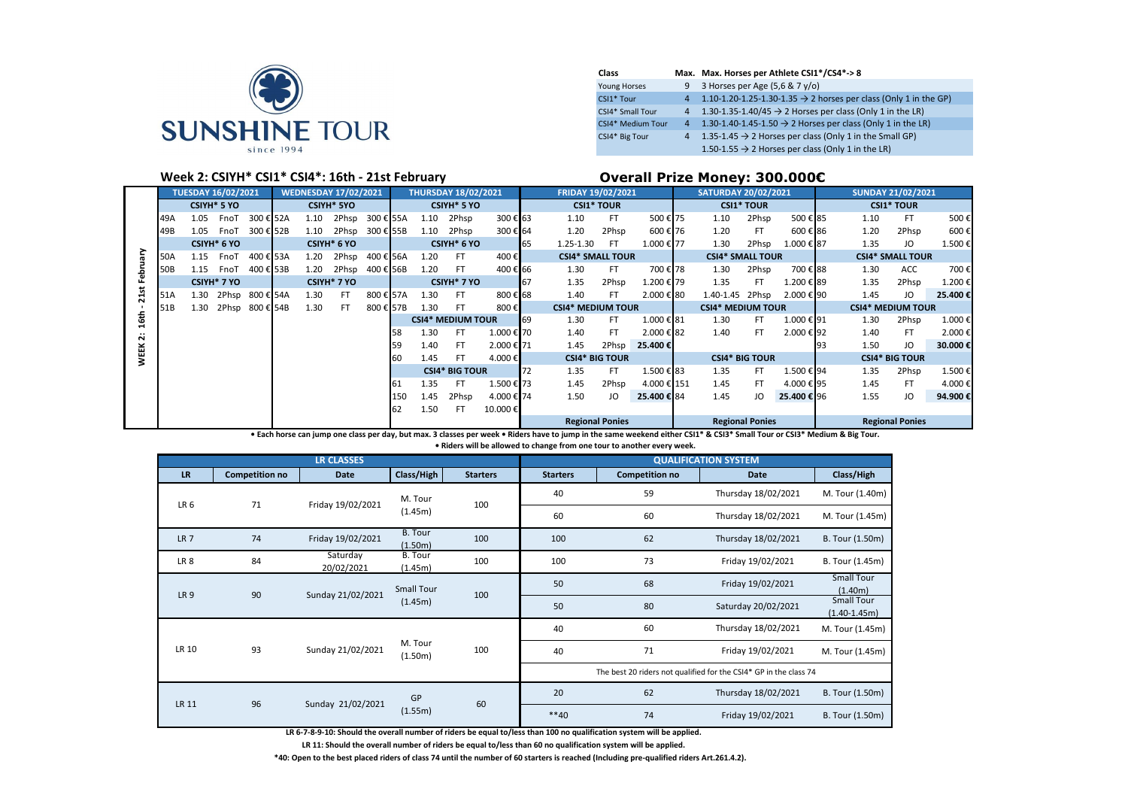

| Class               |                | Max. Max. Horses per Athlete CSI1*/CS4*-> 8                                  |
|---------------------|----------------|------------------------------------------------------------------------------|
| <b>Young Horses</b> | 9              | 3 Horses per Age (5,6 & 7 y/o)                                               |
| CSI1* Tour          | 4              | 1.10-1.20-1.25-1.30-1.35 $\rightarrow$ 2 horses per class (Only 1 in the GP) |
| CSI4* Small Tour    | 4              | 1.30-1.35-1.40/45 $\rightarrow$ 2 Horses per class (Only 1 in the LR)        |
| CSI4* Medium Tour   | 4 <sup>7</sup> | 1.30-1.40-1.45-1.50 $\rightarrow$ 2 Horses per class (Only 1 in the LR)      |
| CSI4* Big Tour      | $\overline{4}$ | 1.35-1.45 $\rightarrow$ 2 Horses per class (Only 1 in the Small GP)          |
|                     |                | 1.50-1.55 $\rightarrow$ 2 Horses per class (Only 1 in the LR)                |

## **Week 2: CSIYH\* CSI1\* CSI4\*: 16th - 21st February <b>Discussed Coverall Prize Money: 300.000€**

|                            | <b>TUESDAY 16/02/2021</b><br><b>WEDNESDAY 17/02/2021</b><br><b>CSIYH* 5YO</b><br><b>CSIYH* 5 YO</b> |      |             |           |      |                         |           | <b>THURSDAY 18/02/2021</b> |      |                          | FRIDAY 19/02/2021 |    |                          | <b>SATURDAY 20/02/2021</b> |             |                          | <b>SUNDAY 21/02/2021</b> |            |    |      |                          |         |
|----------------------------|-----------------------------------------------------------------------------------------------------|------|-------------|-----------|------|-------------------------|-----------|----------------------------|------|--------------------------|-------------------|----|--------------------------|----------------------------|-------------|--------------------------|--------------------------|------------|----|------|--------------------------|---------|
|                            |                                                                                                     |      |             |           |      |                         |           |                            |      | CSIYH* 5 YO              |                   |    | <b>CSI1* TOUR</b>        |                            |             |                          | <b>CSI1* TOUR</b>        |            |    |      | <b>CSI1* TOUR</b>        |         |
|                            | 49A                                                                                                 | 1.05 | FnoT        | 300 € 52A | 1.10 | 2Phsp                   | 300 € 55A |                            | 1.10 | 2Phsp                    | 300€63            |    | 1.10                     | FT                         | 500€75      | 1.10                     | 2Phsp                    | 500€85     |    | 1.10 | FT.                      | 500€    |
|                            | 49B                                                                                                 | 1.05 | FnoT        | 300 € 52B | 1.10 | 2Phsp                   | 300 € 55B |                            | 1.10 | 2Phsp                    | 300€ 64           |    | 1.20                     | 2Phsp                      | 600€76      | 1.20                     | FT                       | 600€86     |    | 1.20 | 2Phsp                    | 600€    |
|                            |                                                                                                     |      | CSIYH* 6 YO |           |      | CSIYH* 6 YO             |           |                            |      | CSIYH* 6 YO              |                   | 65 | 1.25-1.30                | - FT                       | 1.000 € 77  | 1.30                     | 2Phsp                    | 1.000 € 87 |    | 1.35 | JO                       | 1.500€  |
| ζĔ                         | 50A                                                                                                 | 1.15 | FnoT        | 400 € 53A | 1.20 | 2Phsp                   | 400 € 56A |                            | 1.20 | FT                       | 400€              |    | <b>CSI4* SMALL TOUR</b>  |                            |             | <b>CSI4* SMALL TOUR</b>  |                          |            |    |      | <b>CSI4* SMALL TOUR</b>  |         |
| 흲                          | 50B                                                                                                 | 1.15 | FnoT        | 400 € 53B | 1.20 | 2Phsp                   | 400 € 56B |                            | 1.20 | FT                       | 400€ 66           |    | 1.30                     | FT.                        | 700€78      | 1.30                     | 2Phsp                    | 700€88     |    | 1.30 | ACC.                     | 700€    |
|                            |                                                                                                     |      | CSIYH* 7 YO |           |      | CSIYH <sup>*</sup> 7 YO |           |                            |      | CSIYH* 7 YO              |                   | 67 | 1.35                     | 2Phsp                      | 1.200 € 79  | 1.35                     | FT                       | 1.200 € 89 |    | 1.35 | 2Phsp                    | 1.200€  |
| 21s                        | 51A                                                                                                 | 1.30 | 2Phsp       | 800 € 54A | 1.30 | FT                      | 800€      | 57A                        | 1.30 | FT                       | 800€68            |    | 1.40                     | FT                         | 2.000 € 80  | 1.40-1.45                | 2Phsp                    | 2.000 € 90 |    | 1.45 | JO                       | 25.400€ |
|                            | 51B                                                                                                 | 1.30 | 2Phsp       | 800 € 54B | 1.30 | FT                      | 800 € 57B |                            | 1.30 | FT                       | 800€              |    | <b>CSI4* MEDIUM TOUR</b> |                            |             | <b>CSI4* MEDIUM TOUR</b> |                          |            |    |      | <b>CSI4* MEDIUM TOUR</b> |         |
| 16th                       |                                                                                                     |      |             |           |      |                         |           |                            |      | <b>CSI4* MEDIUM TOUR</b> |                   | 69 | 1.30                     | FT                         | 1.000 € 81  | 1.30                     | FT                       | 1.000 € 91 |    | 1.30 | 2Phsp                    | 1.000€  |
| $\cdot$ .<br>$\ddot{\sim}$ |                                                                                                     |      |             |           |      |                         |           | 58                         | 1.30 | FT                       | 1.000 € 70        |    | 1.40                     | FT                         | 2.000 € 82  | 1.40                     | FT.                      | 2.000€92   |    | 1.40 | FT                       | 2.000€  |
|                            |                                                                                                     |      |             |           |      |                         |           | 59                         | 1.40 | FT                       | 2.000 € 71        |    | 1.45                     | 2Phsp                      | 25.400€     |                          |                          |            | 93 | 1.50 | ΙO                       | 30.000€ |
| <b>WEEK</b>                |                                                                                                     |      |             |           |      |                         |           | 60                         | 1.45 | FT                       | 4.000€            |    | <b>CSI4* BIG TOUR</b>    |                            |             |                          | <b>CSI4* BIG TOUR</b>    |            |    |      | <b>CSI4* BIG TOUR</b>    |         |
|                            |                                                                                                     |      |             |           |      |                         |           |                            |      | <b>CSI4* BIG TOUR</b>    |                   | 72 | 1.35                     | FT                         | 1.500 € 83  | 1.35                     | FT                       | 1.500 € 94 |    | 1.35 | 2Phsp                    | 1.500€  |
|                            |                                                                                                     |      |             |           |      |                         |           | 61                         | 1.35 | <b>FT</b>                | 1.500€ 73         |    | 1.45                     | 2Phsp                      | 4.000 € 151 | 1.45                     | FT.                      | 4.000€95   |    | 1.45 | FT                       | 4.000€  |
|                            |                                                                                                     |      |             |           |      |                         |           | 150                        | 1.45 | 2Phsp                    | 4.000 € 74        |    | 1.50                     | JO                         | 25,400 € 84 | 1.45                     |                          | 25,400€ 96 |    | 1.55 | IO.                      | 94.900€ |
|                            |                                                                                                     |      |             |           |      |                         |           | 62                         | 1.50 | FT                       | 10.000€           |    |                          |                            |             |                          |                          |            |    |      |                          |         |
|                            |                                                                                                     |      |             |           |      |                         |           |                            |      |                          |                   |    | <b>Regional Ponies</b>   |                            |             |                          | <b>Regional Ponies</b>   |            |    |      | <b>Regional Ponies</b>   |         |

**• Each horse can jump one class per day, but max. 3 classes per week • Riders have to jump in the same weekend either CSI1\* & CSI3\* Small Tour or CSI3\* Medium & Big Tour.** 

**• Riders will be allowed to change from one tour to another every week.**

|                 |                       | <b>LR CLASSES</b>      |                    |                 |                 |                       | <b>QUALIFICATION SYSTEM</b>                                       |                                       |
|-----------------|-----------------------|------------------------|--------------------|-----------------|-----------------|-----------------------|-------------------------------------------------------------------|---------------------------------------|
| <b>LR</b>       | <b>Competition no</b> | <b>Date</b>            | Class/High         | <b>Starters</b> | <b>Starters</b> | <b>Competition no</b> | Date                                                              | Class/High                            |
| LR 6            | 71                    | Friday 19/02/2021      | M. Tour            | 100             | 40              | 59                    | Thursday 18/02/2021                                               | M. Tour (1.40m)                       |
|                 |                       |                        | (1.45m)            |                 | 60              | 60                    | Thursday 18/02/2021                                               | M. Tour (1.45m)                       |
| LR <sub>7</sub> | 74                    | Friday 19/02/2021      | B. Tour<br>(1.50m) | 100             | 100             | 62                    | Thursday 18/02/2021                                               | B. Tour (1.50m)                       |
| LR 8            | 84                    | Saturday<br>20/02/2021 | B. Tour<br>(1.45m) | 100             | 100             | 73                    | Friday 19/02/2021                                                 | B. Tour (1.45m)                       |
| LR <sub>9</sub> | 90                    | Sunday 21/02/2021      | <b>Small Tour</b>  | 100             | 50              | 68                    | Friday 19/02/2021                                                 | <b>Small Tour</b><br>(1.40m)          |
|                 |                       |                        | (1.45m)            |                 | 50              | 80                    | Saturday 20/02/2021                                               | <b>Small Tour</b><br>$(1.40 - 1.45m)$ |
|                 |                       |                        |                    |                 | 40              | 60                    | Thursday 18/02/2021                                               | M. Tour (1.45m)                       |
| LR 10           | 93                    | Sunday 21/02/2021      | M. Tour<br>(1.50m) | 100             | 40              | 71                    | Friday 19/02/2021                                                 | M. Tour (1.45m)                       |
|                 |                       |                        |                    |                 |                 |                       | The best 20 riders not qualified for the CSI4* GP in the class 74 |                                       |
|                 | 96                    |                        | GP                 |                 | 20              | 62                    | Thursday 18/02/2021                                               | B. Tour (1.50m)                       |
| LR 11           |                       | Sunday 21/02/2021      | (1.55m)            | 60              | $**40$          | 74                    | Friday 19/02/2021                                                 | B. Tour (1.50m)                       |

**LR 6-7-8-9-10: Should the overall number of riders be equal to/less than 100 no qualification system will be applied.**

**LR 11: Should the overall number of riders be equal to/less than 60 no qualification system will be applied.**

**\*40: Open to the best placed riders of class 74 until the number of 60 starters is reached (Including pre-qualified riders Art.261.4.2).**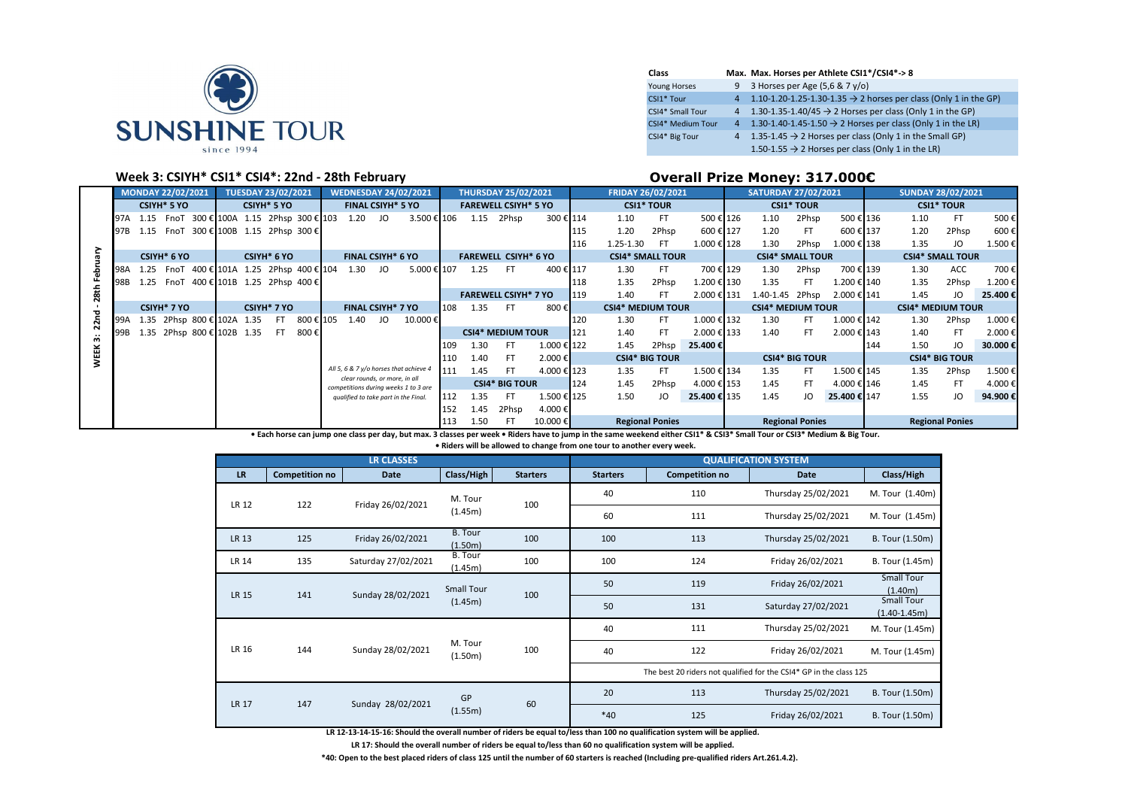

| Class             | Max. Max. Horses per Athlete CSI1*/CSI4*->8                                    |
|-------------------|--------------------------------------------------------------------------------|
| Young Horses      | 9 3 Horses per Age $(5.6 & 7y/o)$                                              |
| CSI1* Tour        | 4 1.10-1.20-1.25-1.30-1.35 $\rightarrow$ 2 horses per class (Only 1 in the GP) |
| CSI4* Small Tour  | 4 1.30-1.35-1.40/45 $\rightarrow$ 2 Horses per class (Only 1 in the GP)        |
| CSI4* Medium Tour | 4 1.30-1.40-1.45-1.50 $\rightarrow$ 2 Horses per class (Only 1 in the LR)      |
| CSI4* Big Tour    | 4 1.35-1.45 $\rightarrow$ 2 Horses per class (Only 1 in the Small GP)          |
|                   | 1.50-1.55 $\rightarrow$ 2 Horses per class (Only 1 in the LR)                  |

### **Week 3: CSIYH\* CSI1\* CSI4\*: 22nd - 28th February Overall Prize Money: 317.000€**

|             |     | MONDAY 22/02/2021<br><b>TUESDAY 23/02/2021</b><br><b>WEDNESDAY 24/02/2021</b> |                            |  |  |             |                                           | <b>THURSDAY 25/02/2021</b> |                                      |                                        | <b>FRIDAY 26/02/2021</b> |      |                             | <b>SATURDAY 27/02/2021</b> |     |                          |                        | <b>SUNDAY 28/02/2021</b> |  |                          |                        |              |     |                          |                         |         |
|-------------|-----|-------------------------------------------------------------------------------|----------------------------|--|--|-------------|-------------------------------------------|----------------------------|--------------------------------------|----------------------------------------|--------------------------|------|-----------------------------|----------------------------|-----|--------------------------|------------------------|--------------------------|--|--------------------------|------------------------|--------------|-----|--------------------------|-------------------------|---------|
|             |     |                                                                               | <b>CSIYH* 5 YO</b>         |  |  | CSIYH* 5 YO |                                           |                            | <b>FINAL CSIYH* 5 YO</b>             |                                        |                          |      | <b>FAREWELL CSIYH* 5 YO</b> |                            |     |                          | <b>CSI1* TOUR</b>      |                          |  |                          | <b>CSI1* TOUR</b>      |              |     |                          | <b>CSI1* TOUR</b>       |         |
|             | 97A |                                                                               |                            |  |  |             | 1.15 FnoT 300 € 100A 1.15 2Phsp 300 € 103 | 1.20                       | JO                                   | 3.500 € 106                            |                          | 1.15 | 2Phsp                       | 300 € 114                  |     | 1.10                     | FT                     | 500 € 126                |  | 1.10                     | 2Phsp                  | 500 € 136    |     | 1.10                     | FT.                     | 500€    |
|             | 97B | 1.15                                                                          |                            |  |  |             | FnoT 300 € 100B 1.15 2Phsp 300 €          |                            |                                      |                                        |                          |      |                             |                            | 115 | 1.20                     | 2Phsp                  | 600€ 127                 |  | 1.20                     | -FT                    | 600€ 137     |     | 1.20                     | 2Phsp                   | 600€    |
|             |     |                                                                               |                            |  |  |             |                                           |                            |                                      |                                        |                          |      |                             |                            | 116 | 1.25-1.30                | -FT                    | 1.000 € 128              |  | 1.30                     | 2Phsp                  | 1.000 € 138  |     | 1.35                     | JO                      | 1.500€  |
|             |     |                                                                               | CSIYH* 6 YO                |  |  | CSIYH* 6 YO |                                           |                            | <b>FINAL CSIYH* 6 YO</b>             |                                        |                          |      | <b>FAREWELL CSIYH* 6 YO</b> |                            |     | <b>CSI4* SMALL TOUR</b>  |                        |                          |  | <b>CSI4* SMALL TOUR</b>  |                        |              |     |                          | <b>CSI4* SMALL TOUR</b> |         |
|             | 98A |                                                                               |                            |  |  |             | 1.25 FnoT 400 € 101A 1.25 2Phsp 400 € 104 | 1.30                       | JO                                   | 5.000 € 107                            |                          | 1.25 | FT.                         | 400 € 117                  |     | 1.30                     | FT.                    | 700 € 129                |  | 1.30                     | 2Phsp                  | 700 € 139    |     | 1.30                     | <b>ACC</b>              | 700€    |
|             | 98B |                                                                               |                            |  |  |             | 1.25 FnoT 400 € 101B 1.25 2Phsp 400 €     |                            |                                      |                                        |                          |      |                             |                            | 118 | 1.35                     | 2Phsp                  | 1.200 € 130              |  | 1.35                     | FT.                    | 1.200 € 140  |     | 1.35                     | 2Phsp                   | 1.200€  |
| 28th        |     |                                                                               |                            |  |  |             |                                           |                            |                                      |                                        |                          |      | <b>FAREWELL CSIYH* 7 YO</b> |                            | 119 | 1.40                     | FT                     | 2.000 € 131              |  | 1.40-1.45 2Phsp          |                        | 2.000 € 141  |     | 1.45                     | JO                      | 25.400€ |
| ъ           |     |                                                                               | CSIYH <sup>*</sup> 7 YO    |  |  | CSIYH* 7 YO |                                           |                            | <b>FINAL CSIYH* 7 YO</b>             |                                        | 108                      | 1.35 | FT.                         | 800 €∎                     |     | <b>CSI4* MEDIUM TOUR</b> |                        |                          |  | <b>CSI4* MEDIUM TOUR</b> |                        |              |     | <b>CSI4* MEDIUM TOUR</b> |                         |         |
| 22n         | 99A |                                                                               | 1.35 2Phsp 800 € 102A 1.35 |  |  | FT.         | 800 € 105                                 | 1.40                       | JO                                   | 10.000€                                |                          |      |                             |                            | 120 | 1.30                     | FT                     | 1.000 € 132              |  | 1.30                     | FT.                    | 1.000 € 142  |     | 1.30                     | 2Phsp                   | 1.000€  |
| ç.          |     |                                                                               | 1.35 2Phsp 800 € 102B 1.35 |  |  | FT.         | 800 €l                                    |                            |                                      |                                        |                          |      | <b>CSI4* MEDIUM TOUR</b>    |                            | 121 | 1.40                     | FT                     | 2.000 € 133              |  | 1.40                     | FT.                    | 2.000 € 143  |     | 1.40                     | FT                      | 2.000€  |
|             |     |                                                                               |                            |  |  |             |                                           |                            |                                      |                                        | 109                      | 1.30 | FT.                         | 1.000 € 122                |     | 1.45                     | 2Phsp                  | 25.400€                  |  |                          |                        |              | 144 | 1.50                     | JO                      | 30.000€ |
| <b>WEEK</b> |     |                                                                               |                            |  |  |             |                                           |                            |                                      |                                        | 110                      | 1.40 | FT.                         | 2.000€                     |     |                          | <b>CSI4* BIG TOUR</b>  |                          |  |                          | <b>CSI4* BIG TOUR</b>  |              |     |                          | <b>CSI4* BIG TOUR</b>   |         |
|             |     |                                                                               |                            |  |  |             |                                           |                            | clear rounds, or more, in all        | All 5, 6 & 7 y/o horses that achieve 4 | 111                      | 1.45 | FT.                         | 4.000 € 123                |     | 1.35                     | FT.                    | 1.500 € 134              |  | 1.35                     | FT.                    | 1.500 € 145  |     | 1.35                     | 2Phsp                   | 1.500€  |
|             |     |                                                                               |                            |  |  |             |                                           |                            |                                      | competitions during weeks 1 to 3 are   |                          |      | <b>CSI4* BIG TOUR</b>       |                            | 124 | 1.45                     | 2Phsp                  | 4.000 € 153              |  | 1.45                     | FT                     | 4.000 € 146  |     | 1.45                     | FT.                     | 4.000€  |
|             |     |                                                                               |                            |  |  |             |                                           |                            | qualified to take part in the Final. |                                        | 112                      | 1.35 | FT.                         | 1.500 € 125                |     | 1.50                     | JO                     | 25,400 € 135             |  | 1.45                     | JO                     | 25.400 € 147 |     | 1.55                     | JO                      | 94.900€ |
|             |     |                                                                               |                            |  |  |             |                                           |                            |                                      |                                        | 152                      | 1.45 | 2Phsp                       | 4.000€                     |     |                          |                        |                          |  |                          |                        |              |     |                          |                         |         |
|             |     |                                                                               |                            |  |  |             |                                           |                            |                                      |                                        | 113                      | 1.50 | FT                          | 10.000 €                   |     |                          | <b>Regional Ponies</b> |                          |  |                          | <b>Regional Ponies</b> |              |     |                          | <b>Regional Ponies</b>  |         |

**• Each horse can jump one class per day, but max. 3 classes per week • Riders have to jump in the same weekend either CSI1\* & CSI3\* Small Tour or CSI3\* Medium & Big Tour.** 

**• Riders will be allowed to change from one tour to another every week.**

|              |                       | <b>LR CLASSES</b>   |                           |                 |                 |                       | <b>QUALIFICATION SYSTEM</b>                                        |                                       |
|--------------|-----------------------|---------------------|---------------------------|-----------------|-----------------|-----------------------|--------------------------------------------------------------------|---------------------------------------|
| <b>LR</b>    | <b>Competition no</b> | Date                | Class/High                | <b>Starters</b> | <b>Starters</b> | <b>Competition no</b> | <b>Date</b>                                                        | Class/High                            |
| <b>LR 12</b> | 122                   | Friday 26/02/2021   | M. Tour                   | 100             | 40              | 110                   | Thursday 25/02/2021                                                | M. Tour (1.40m)                       |
|              |                       |                     | (1.45m)                   |                 | 60              | 111                   | Thursday 25/02/2021                                                | M. Tour (1.45m)                       |
| LR 13        | 125                   | Friday 26/02/2021   | <b>B.</b> Tour<br>(1.50m) | 100             | 100             | 113                   | Thursday 25/02/2021                                                | B. Tour (1.50m)                       |
| LR 14        | 135                   | Saturday 27/02/2021 | <b>B.</b> Tour<br>(1.45m) | 100             | 100             | 124                   | Friday 26/02/2021                                                  | B. Tour (1.45m)                       |
| <b>LR 15</b> | 141                   | Sunday 28/02/2021   | <b>Small Tour</b>         | 100             | 50              | 119                   | Friday 26/02/2021                                                  | <b>Small Tour</b><br>(1.40m)          |
|              |                       |                     | (1.45m)                   |                 | 50              | 131                   | Saturday 27/02/2021                                                | <b>Small Tour</b><br>$(1.40 - 1.45m)$ |
|              |                       |                     |                           |                 | 40              | 111                   | Thursday 25/02/2021                                                | M. Tour (1.45m)                       |
| LR 16        | 144                   | Sunday 28/02/2021   | M. Tour<br>(1.50m)        | 100             | 40              | 122                   | Friday 26/02/2021                                                  | M. Tour (1.45m)                       |
|              |                       |                     |                           |                 |                 |                       | The best 20 riders not qualified for the CSI4* GP in the class 125 |                                       |
| <b>LR 17</b> | 147                   | Sunday 28/02/2021   | GP                        | 60              | 20              | 113                   | Thursday 25/02/2021                                                | B. Tour (1.50m)                       |
|              |                       |                     | (1.55m)                   |                 | $*40$           | 125                   | Friday 26/02/2021                                                  | B. Tour (1.50m)                       |

**LR 12-13-14-15-16: Should the overall number of riders be equal to/less than 100 no qualification system will be applied.**

**LR 17: Should the overall number of riders be equal to/less than 60 no qualification system will be applied.**

**\*40: Open to the best placed riders of class 125 until the number of 60 starters is reached (Including pre-qualified riders Art.261.4.2).**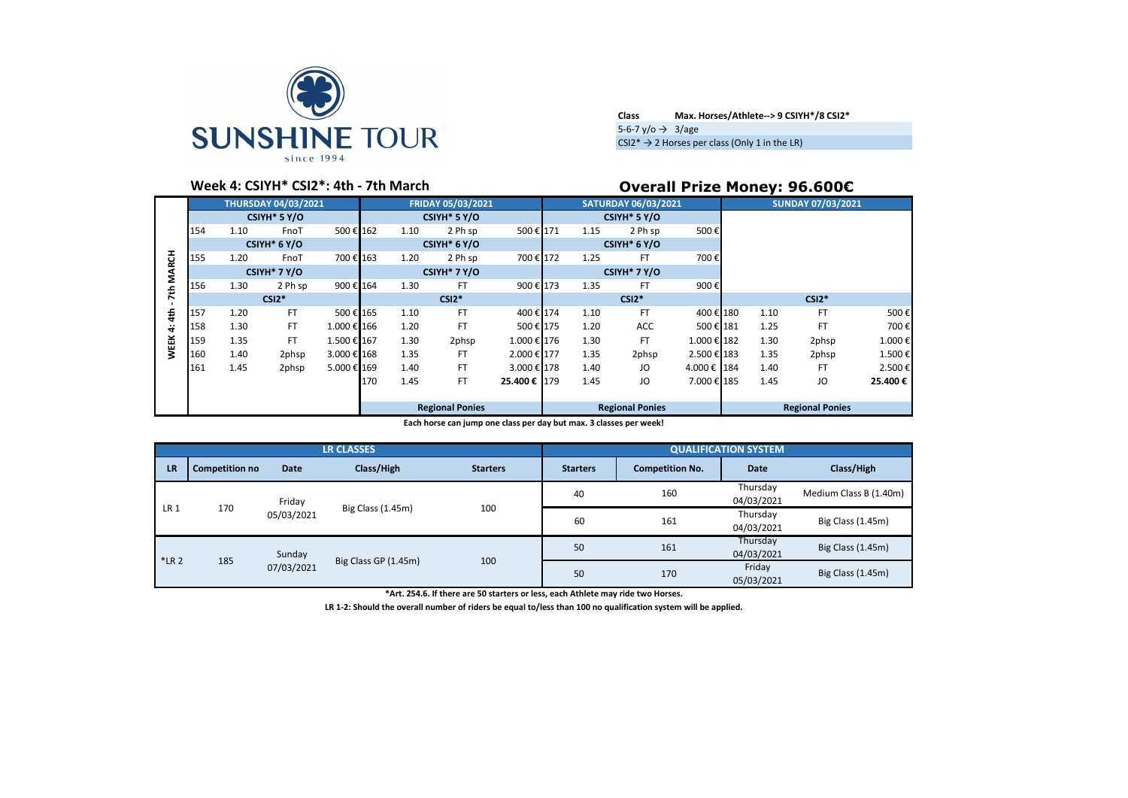

| <b>Class</b>                            | Max. Horses/Athlete--> 9 CSIYH*/8 CSI2*                    |
|-----------------------------------------|------------------------------------------------------------|
| 5-6-7 $v$ / $\circ$ $\rightarrow$ 3/age |                                                            |
|                                         | $CSI2^* \rightarrow 2$ Horses per class (Only 1 in the LR) |

# **Week 4: CSIYH\* CSI2\*: 4th - 7th March Overall Prize Money: 96.600€**

|              |                        |                          | <b>THURSDAY 04/03/2021</b> |             |     |      | FRIDAY 05/03/2021 |              |      | <b>SATURDAY 06/03/2021</b> |             |      | <b>SUNDAY 07/03/2021</b> |         |
|--------------|------------------------|--------------------------|----------------------------|-------------|-----|------|-------------------|--------------|------|----------------------------|-------------|------|--------------------------|---------|
|              |                        |                          | CSIYH <sup>*</sup> 5 Y/O   |             |     |      | CSIYH* 5 Y/O      |              |      | CSIYH <sup>*</sup> 5 Y/O   |             |      |                          |         |
|              | 154                    | 1.10                     | FnoT                       | 500€ 162    |     | 1.10 | 2 Ph sp           | 500€171      | 1.15 | 2 Ph sp                    | 500€        |      |                          |         |
|              |                        |                          | CSIYH* 6 Y/O               |             |     |      | CSIYH* 6 Y/O      |              |      | CSIYH* 6 Y/O               |             |      |                          |         |
| <b>MARCH</b> | 155                    | 1.20                     | FnoT                       | 700€ 163    |     | 1.20 | 2 Ph sp           | 700 € 172    | 1.25 | <b>FT</b>                  | 700€        |      |                          |         |
|              |                        | CSIYH <sup>*</sup> 7 Y/O |                            |             |     |      | CSIYH* 7 Y/O      |              |      | CSIYH <sup>*</sup> 7 Y/O   |             |      |                          |         |
| £            | 156                    | 1.30                     | 2 Ph sp                    | 900€ 164    |     | 1.30 | FT                | 900€ 173     | 1.35 | FT                         | 900€        |      |                          |         |
| N            |                        |                          | $CSI2*$                    |             |     |      | $CSI2*$           |              |      | $CSI2*$                    |             |      | $CSI2*$                  |         |
| 4th          | 157                    | 1.20                     | <b>FT</b>                  | 500€ 165    |     | 1.10 | FT                | 400 € 174    | 1.10 | <b>FT</b>                  | 400 € 180   | 1.10 | FT                       | 500€    |
| ÷            | 158                    | 1.30                     | <b>FT</b>                  | 1.000 € 166 |     | 1.20 | FT                | 500 € 175    | 1.20 | ACC                        | 500€ 181    | 1.25 | FT                       | 700€    |
| <b>WEEK</b>  | 159                    | 1.35                     | FT                         | 1.500 € 167 |     | 1.30 | 2phsp             | 1.000 € 176  | 1.30 | FT                         | 1.000 € 182 | 1.30 | 2phsp                    | 1.000€  |
|              | 160                    | 1.40                     | 2phsp                      | 3.000 € 168 |     | 1.35 | FT                | 2.000 € 177  | 1.35 | 2phsp                      | 2.500 € 183 | 1.35 | 2phsp                    | 1.500€  |
|              | 161                    | 1.45                     | 2phsp                      | 5.000 € 169 |     | 1.40 | FT                | 3.000 € 178  | 1.40 | JO                         | 4.000 € 184 | 1.40 | FT                       | 2.500€  |
|              |                        |                          |                            |             | 170 | 1.45 | FT                | 25.400 € 179 | 1.45 | JO                         | 7.000 € 185 | 1.45 | JO                       | 25.400€ |
|              |                        |                          |                            |             |     |      |                   |              |      |                            |             |      |                          |         |
|              | <b>Regional Ponies</b> |                          |                            |             |     |      |                   |              |      | <b>Regional Ponies</b>     |             |      | <b>Regional Ponies</b>   |         |

**Each horse can jump one class per day but max. 3 classes per week!**

|                 |                       |             | <b>LR CLASSES</b>    |                 |                 |                        | <b>QUALIFICATION SYSTEM</b> |                        |
|-----------------|-----------------------|-------------|----------------------|-----------------|-----------------|------------------------|-----------------------------|------------------------|
| <b>LR</b>       | <b>Competition no</b> | <b>Date</b> | Class/High           | <b>Starters</b> | <b>Starters</b> | <b>Competition No.</b> | <b>Date</b>                 | Class/High             |
|                 |                       | Friday      |                      |                 | 40              | 160                    | Thursday<br>04/03/2021      | Medium Class B (1.40m) |
| LR <sub>1</sub> | 170                   | 05/03/2021  | Big Class (1.45m)    | 100             | 60              | 161                    | Thursday<br>04/03/2021      | Big Class (1.45m)      |
| $*LR2$          |                       | Sunday      |                      |                 | 50              | 161                    | Thursday<br>04/03/2021      | Big Class (1.45m)      |
|                 | 185                   | 07/03/2021  | Big Class GP (1.45m) | 100             | 50              | 170                    | Friday<br>05/03/2021        | Big Class (1.45m)      |

**\*Art. 254.6. If there are 50 starters or less, each Athlete may ride two Horses.**

**LR 1-2: Should the overall number of riders be equal to/less than 100 no qualification system will be applied.**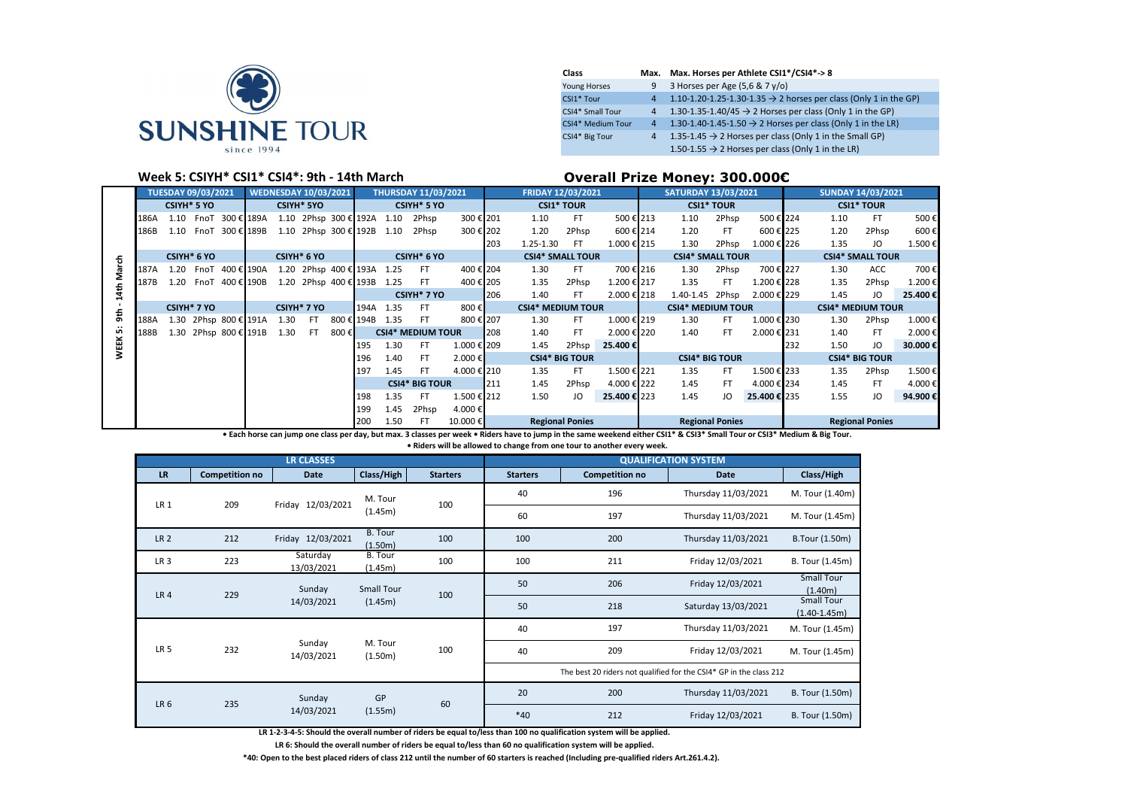

| Class               |                | Max. Max. Horses per Athlete CSI1*/CSI4*->8                                  |
|---------------------|----------------|------------------------------------------------------------------------------|
| <b>Young Horses</b> | 9              | 3 Horses per Age (5,6 & 7 y/o)                                               |
| CSI1* Tour          | $\overline{4}$ | 1.10-1.20-1.25-1.30-1.35 $\rightarrow$ 2 horses per class (Only 1 in the GP) |
| CSI4* Small Tour    | $\overline{4}$ | 1.30-1.35-1.40/45 $\rightarrow$ 2 Horses per class (Only 1 in the GP)        |
| CSI4* Medium Tour   | $4^{\circ}$    | 1.30-1.40-1.45-1.50 $\rightarrow$ 2 Horses per class (Only 1 in the LR)      |
| CSI4* Big Tour      | $\overline{4}$ | 1.35-1.45 $\rightarrow$ 2 Horses per class (Only 1 in the Small GP)          |
|                     |                | 1.50-1.55 $\rightarrow$ 2 Horses per class (Only 1 in the LR)                |

## **Week 5: CSIYH\* CSI1\* CSI4\*: 9th - 14th March Overall Prize Money: 300.000€**

|           | <b>TUESDAY 09/03/2021</b>  |             |      | <b>WEDNESDAY 10/03/2021</b> |  |             | <b>THURSDAY 11/03/2021</b> |      |                         |      |                          | FRIDAY 12/03/2021       |             |                          |                   | <b>SATURDAY 13/03/2021</b> |  |                          | <b>SUNDAY 14/03/2021</b> |              |     |                          |                        |         |
|-----------|----------------------------|-------------|------|-----------------------------|--|-------------|----------------------------|------|-------------------------|------|--------------------------|-------------------------|-------------|--------------------------|-------------------|----------------------------|--|--------------------------|--------------------------|--------------|-----|--------------------------|------------------------|---------|
|           |                            | CSIYH* 5 YO |      |                             |  |             | <b>CSIYH* 5YO</b>          |      |                         |      | <b>CSIYH* 5 YO</b>       |                         |             |                          | <b>CSI1* TOUR</b> |                            |  |                          | <b>CSI1* TOUR</b>        |              |     |                          | <b>CSI1* TOUR</b>      |         |
|           | 186A                       | 1.10        |      | FnoT 300 € 189A             |  |             | 1.10 2Phsp 300 € 192A      |      |                         | 1.10 | 2Phsp                    | 300 € 201               |             | 1.10                     | <b>FT</b>         | 500 € 213                  |  | 1.10                     | 2Phsp                    | 500€ 224     |     | 1.10                     | FT                     | 500€    |
|           | 186B                       | 1.10        |      | FnoT 300 € 189B             |  |             | 1.10 2Phsp 300 € 192B      |      |                         | 1.10 | 2Phsp                    | 300 € 202               |             | 1.20                     | 2Phsp             | 600€ 214                   |  | 1.20                     | FT                       | 600 € 225    |     | 1.20                     | 2Phsp                  | 600€    |
|           |                            |             |      |                             |  |             |                            |      |                         |      |                          |                         | 203         | 1.25-1.30                | -FT               | 1.000 € 215                |  | 1.30                     | 2Phsp                    | 1.000 € 226  |     | 1.35                     | JO                     | 1.500€  |
| 듇         | CSIYH* 6 YO<br>CSIYH* 6 YO |             |      |                             |  | CSIYH* 6 YO |                            |      | <b>CSI4* SMALL TOUR</b> |      |                          | <b>CSI4* SMALL TOUR</b> |             |                          |                   | <b>CSI4* SMALL TOUR</b>    |  |                          |                          |              |     |                          |                        |         |
|           | 187A                       | 1.20        | FnoT | 400 € 190A                  |  |             | 1.20 2Phsp 400 € 193A 1.25 |      |                         |      | FT                       | 400 € 204               |             | 1.30                     | FT.               | 700 € 216                  |  | 1.30                     | 2Phsp                    | 700€ 227     |     | 1.30                     | ACC.                   | 700€    |
|           | 187B                       | 1.20        |      | FnoT 400 € 190B             |  |             | 1.20 2Phsp 400 € 193B      |      |                         | 1.25 | FT                       | 400 € 205               |             | 1.35                     | 2Phsp             | 1.200€ 217                 |  | 1.35                     | FT.                      | 1.200€ 228   |     | 1.35                     | 2Phsp                  | 1.200€  |
| 4th       |                            |             |      |                             |  |             |                            |      |                         |      | CSIYH* 7 YO              |                         | 206         | 1.40                     | FT.               | 2.000 € 218                |  | 1.40-1.45 2Phsp          |                          | 2.000 € 229  |     | 1.45                     | JO                     | 25.400€ |
|           | CSIYH* 7 YO                |             |      | CSIYH* 7 YO                 |  |             |                            |      | 194A                    | 1.35 | FT.                      | 800€                    |             | <b>CSI4* MEDIUM TOUR</b> |                   |                            |  | <b>CSI4* MEDIUM TOUR</b> |                          |              |     | <b>CSI4* MEDIUM TOUR</b> |                        |         |
| <b>ទី</b> | 188A                       |             |      | 1.30 2Phsp 800 € 191A       |  | 1.30        | FT.                        |      | 800 € 194B              | 1.35 | FT.                      | 800€ 207                |             | 1.30                     | FT.               | 1.000 € 219                |  | 1.30                     | FT                       | 1.000 € 230  |     | 1.30                     | 2Phsp                  | 1.000€  |
| un.       | 188B                       |             |      | 1.30 2Phsp 800 € 191B       |  | 1.30        | FT.                        | 800€ |                         |      | <b>CSI4* MEDIUM TOUR</b> |                         | 208         | 1.40                     | FT.               | 2.000 € 220                |  | 1.40                     | FT.                      | 2.000 € 231  |     | 1.40                     | FT                     | 2.000€  |
| WEEK!     |                            |             |      |                             |  |             |                            |      | 195                     | 1.30 | FT                       | 1.000 € 209             |             | 1.45                     | 2Phsp             | 25.400€                    |  |                          |                          |              | 232 | 1.50                     | JO                     | 30,000€ |
|           |                            |             |      |                             |  |             |                            |      | 196                     | 1.40 | FT                       | 2.000€                  |             | <b>CSI4* BIG TOUR</b>    |                   |                            |  | <b>CSI4* BIG TOUR</b>    |                          |              |     |                          | <b>CSI4* BIG TOUR</b>  |         |
|           |                            |             |      |                             |  |             |                            |      | 197                     | 1.45 | FT                       | 4.000 € 210             |             | 1.35                     | <b>FT</b>         | 1.500 € 221                |  | 1.35                     | FT.                      | 1.500 € 233  |     | 1.35                     | 2Phsp                  | 1.500€  |
|           |                            |             |      |                             |  |             |                            |      |                         |      | <b>CSI4* BIG TOUR</b>    |                         | <b>1211</b> | 1.45                     | 2Phsp             | 4.000 € 222                |  | 1.45                     | FT                       | 4.000 € 234  |     | 1.45                     | FT                     | 4.000€  |
|           |                            |             |      |                             |  |             |                            |      | 198                     | 1.35 | FT                       | 1.500 € 212             |             | 1.50                     | JO                | 25.400 € 223               |  | 1.45                     | JO                       | 25.400 € 235 |     | 1.55                     | JO                     | 94.900€ |
|           |                            |             |      |                             |  |             |                            |      | 199                     | 1.45 | 2Phsp                    | 4.000€                  |             |                          |                   |                            |  |                          |                          |              |     |                          |                        |         |
|           |                            |             |      |                             |  |             |                            |      | 200                     | 1.50 | FT                       | 10.000€                 |             | <b>Regional Ponies</b>   |                   |                            |  | <b>Regional Ponies</b>   |                          |              |     |                          | <b>Regional Ponies</b> |         |

**• Each horse can jump one class per day, but max. 3 classes per week • Riders have to jump in the same weekend either CSI1\* & CSI3\* Small Tour or CSI3\* Medium & Big Tour.** 

**• Riders will be allowed to change from one tour to another every week.**

|                 |                       | <b>LR CLASSES</b>      |                           |                 |                 |                                                                    | <b>QUALIFICATION SYSTEM</b> |                                     |
|-----------------|-----------------------|------------------------|---------------------------|-----------------|-----------------|--------------------------------------------------------------------|-----------------------------|-------------------------------------|
| LR.             | <b>Competition no</b> | Date                   | Class/High                | <b>Starters</b> | <b>Starters</b> | <b>Competition no</b>                                              | Date                        | Class/High                          |
| LR 1            | 209                   | Friday 12/03/2021      | M. Tour                   | 100             | 40              | 196                                                                | Thursday 11/03/2021         | M. Tour (1.40m)                     |
|                 |                       |                        | (1.45m)                   |                 | 60              | 197                                                                | Thursday 11/03/2021         | M. Tour (1.45m)                     |
| LR <sub>2</sub> | 212                   | Friday 12/03/2021      | <b>B.</b> Tour<br>(1.50m) | 100             | 100             | 200                                                                | Thursday 11/03/2021         | <b>B.Tour (1.50m)</b>               |
| LR <sub>3</sub> | 223                   | Saturday<br>13/03/2021 | B. Tour<br>(1.45m)        | 100             | 100             | 211                                                                | Friday 12/03/2021           | B. Tour (1.45m)                     |
| LR <sub>4</sub> | 229                   | Sunday                 | <b>Small Tour</b>         | 100             | 50              | 206                                                                | Friday 12/03/2021           | <b>Small Tour</b><br>(1.40m)        |
|                 |                       | 14/03/2021             | (1.45m)                   |                 | 50              | 218                                                                | Saturday 13/03/2021         | <b>Small Tour</b><br>$(1.40-1.45m)$ |
|                 |                       |                        |                           |                 | 40              | 197                                                                | Thursday 11/03/2021         | M. Tour (1.45m)                     |
| LR <sub>5</sub> | 232                   | Sunday<br>14/03/2021   | M. Tour<br>(1.50m)        | 100             | 40              | 209                                                                | Friday 12/03/2021           | M. Tour (1.45m)                     |
|                 |                       |                        |                           |                 |                 | The best 20 riders not qualified for the CSI4* GP in the class 212 |                             |                                     |
| LR <sub>6</sub> | 235                   | Sunday                 | GP                        | 60              | 20              | 200                                                                | Thursday 11/03/2021         | B. Tour (1.50m)                     |
|                 |                       | 14/03/2021             | (1.55m)                   |                 | $*40$           | 212                                                                | Friday 12/03/2021           | B. Tour (1.50m)                     |

**LR 1-2-3-4-5: Should the overall number of riders be equal to/less than 100 no qualification system will be applied.**

**LR 6: Should the overall number of riders be equal to/less than 60 no qualification system will be applied.**

**\*40: Open to the best placed riders of class 212 until the number of 60 starters is reached (Including pre-qualified riders Art.261.4.2).**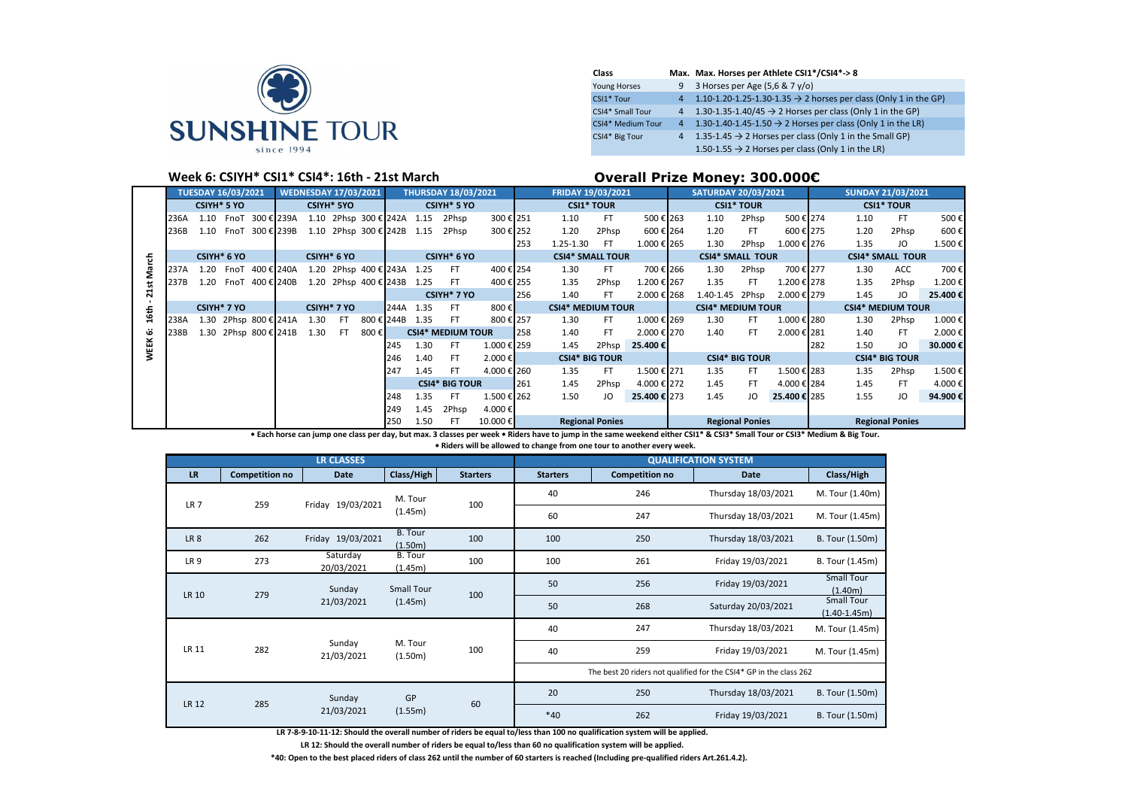

| Class               |                | Max. Max. Horses per Athlete CSI1*/CSI4*->8                                  |
|---------------------|----------------|------------------------------------------------------------------------------|
| <b>Young Horses</b> |                | 9 3 Horses per Age $(5.6 & 7y/o)$                                            |
| CSI1* Tour          | $\overline{4}$ | 1.10-1.20-1.25-1.30-1.35 $\rightarrow$ 2 horses per class (Only 1 in the GP) |
| CSI4* Small Tour    |                | 4 1.30-1.35-1.40/45 $\rightarrow$ 2 Horses per class (Only 1 in the GP)      |
| CSI4* Medium Tour   |                | 4 1.30-1.40-1.45-1.50 $\rightarrow$ 2 Horses per class (Only 1 in the LR)    |
| CSI4* Big Tour      |                | 4 1.35-1.45 $\rightarrow$ 2 Horses per class (Only 1 in the Small GP)        |
|                     |                | 1.50-1.55 $\rightarrow$ 2 Horses per class (Only 1 in the LR)                |

## **Week 6: CSIYH\* CSI1\* CSI4\*: 16th - 21st March Overall Prize Money: 300.000€**

|      | <b>TUESDAY 16/03/2021</b><br><b>WEDNESDAY 17/03/2021</b> |      |                    |                       |            |      |                   |                            |            | <b>THURSDAY 18/03/2021</b> |                          | FRIDAY 19/03/2021 |     |                         |                          | <b>SATURDAY 20/03/2021</b> |  |                         | <b>SUNDAY 21/03/2021</b> |             |     |      |                       |         |
|------|----------------------------------------------------------|------|--------------------|-----------------------|------------|------|-------------------|----------------------------|------------|----------------------------|--------------------------|-------------------|-----|-------------------------|--------------------------|----------------------------|--|-------------------------|--------------------------|-------------|-----|------|-----------------------|---------|
|      |                                                          |      | <b>CSIYH* 5 YO</b> |                       |            |      | <b>CSIYH* 5YO</b> |                            |            |                            | CSIYH* 5 YO              |                   |     | <b>CSI1* TOUR</b>       |                          |                            |  |                         | <b>CSI1* TOUR</b>        |             |     |      | <b>CSI1* TOUR</b>     |         |
|      | 236A                                                     | 1.10 | FnoT               |                       | 300 € 239A |      |                   | 1.10 2Phsp 300 € 242A      |            | 1.15                       | 2Phsp                    | 300€ 251          |     | 1.10                    | <b>FT</b>                | 500 € 263                  |  | 1.10                    | 2Phsp                    | 500 € 274   |     | 1.10 | FT                    | 500€    |
|      | 236B                                                     | 1.10 | FnoT               |                       | 300 € 239B |      |                   | 1.10 2Phsp 300 € 242B 1.15 |            |                            | 2Phsp                    | 300€ 252          |     | 1.20                    | 2Phsp                    | 600 € 264                  |  | 1.20                    | FT.                      | 600€ 275    |     | 1.20 | 2Phsp                 | 600€    |
|      |                                                          |      |                    |                       |            |      |                   |                            |            |                            |                          |                   | 253 | 1.25-1.30               | -FT                      | 1.000 € 265                |  | 1.30                    | 2Phsp                    | 1.000 € 276 |     | 1.35 | JO                    | 1.500€  |
| 동    | CSIYH* 6 YO<br>CSIYH* 6 YO                               |      |                    |                       |            |      |                   | CSIYH* 6 YO                |            |                            | <b>CSI4* SMALL TOUR</b>  |                   |     | <b>CSI4* SMALL TOUR</b> |                          |                            |  | <b>CSI4* SMALL TOUR</b> |                          |             |     |      |                       |         |
|      | 237A                                                     | 1.20 | FnoT               | 400 € 240A            |            |      |                   | 1.20 2Phsp 400 € 243A      |            | 1.25                       | FT.                      | 400 € 254         |     | 1.30                    | FT.                      | 700 € 266                  |  | 1.30                    | 2Phsp                    | 700 € 277   |     | 1.30 | ACC                   | 700€    |
|      | 237B                                                     | 1.20 | FnoT               | 400 € 240B            |            |      |                   | 1.20 2Phsp 400 € 243B      |            | 1.25                       | FT.                      | 400€ 255          |     | 1.35                    | 2Phsp                    | 1.200 € 267                |  | 1.35                    | FT.                      | 1.200 € 278 |     | 1.35 | 2Phsp                 | 1.200€  |
| ี    |                                                          |      |                    |                       |            |      |                   |                            |            |                            | CSIYH <sup>*</sup> 7 YO  |                   | 256 | 1.40                    | FT.                      | 2.000 € 268                |  | 1.40-1.45 2Phsp         |                          | 2.000 € 279 |     | 1.45 | JO                    | 25.400€ |
| 16th | CSIYH* 7 YO<br>CSIYH* 7 YO                               |      |                    |                       |            | 244A | 1.35              | FT.                        | 800€       |                            | <b>CSI4* MEDIUM TOUR</b> |                   |     |                         | <b>CSI4* MEDIUM TOUR</b> |                            |  |                         | <b>CSI4* MEDIUM TOUR</b> |             |     |      |                       |         |
|      | 238A                                                     |      |                    | 1.30 2Phsp 800 € 241A |            | 1.30 | FT.               |                            | 800 € 244B | 1.35                       | FT                       | 800€ 257          |     | 1.30                    | FT.                      | 1.000 € 269                |  | 1.30                    | FT.                      | 1.000 € 280 |     | 1.30 | 2Phsp                 | 1.000€  |
| G    | 238B                                                     |      |                    | 1.30 2Phsp 800 € 241B |            | 1.30 | -FT               | 800€                       |            |                            | <b>CSI4* MEDIUM TOUR</b> |                   | 258 | 1.40                    | FT.                      | 2.000 € 270                |  | 1.40                    | FT.                      | 2.000 € 281 |     | 1.40 | FT                    | 2.000€  |
| EK   |                                                          |      |                    |                       |            |      |                   |                            | 245        | 1.30                       | FT.                      | 1.000 € 259       |     | 1.45                    | 2Phsp                    | 25.400€                    |  |                         |                          |             | 282 | 1.50 | JO                    | 30.000€ |
|      |                                                          |      |                    |                       |            |      |                   |                            | 246        | 1.40                       | FT                       | 2.000€            |     | <b>CSI4* BIG TOUR</b>   |                          |                            |  |                         | <b>CSI4* BIG TOUR</b>    |             |     |      | <b>CSI4* BIG TOUR</b> |         |
|      |                                                          |      |                    |                       |            |      |                   |                            | 247        | 1.45                       | FT.                      | 4.000 € 260       |     | 1.35                    | FT.                      | 1.500 € 271                |  | 1.35                    | FT.                      | 1.500 € 283 |     | 1.35 | 2Phsp                 | 1.500€  |
|      |                                                          |      |                    |                       |            |      |                   |                            |            |                            | <b>CSI4* BIG TOUR</b>    |                   | 261 | 1.45                    | 2Phsp                    | 4.000 € 272                |  | 1.45                    | FT                       | 4.000 € 284 |     | 1.45 | FT.                   | 4.000€  |
|      |                                                          |      |                    |                       |            |      |                   |                            | 248        | 1.35                       | FT                       | 1.500 € 262       |     | 1.50                    | JO                       | 25.400 € 273               |  | 1.45                    | JO                       | 25.400€ 285 |     | 1.55 | JO                    | 94.900€ |
|      |                                                          |      |                    |                       |            |      |                   |                            | 249        | 1.45                       | 2Phsp                    | 4.000€            |     |                         |                          |                            |  |                         |                          |             |     |      |                       |         |
|      |                                                          |      |                    |                       | 250        | 1.50 | FT                | 10.000€                    |            | <b>Regional Ponies</b>     |                          |                   |     |                         | <b>Regional Ponies</b>   |                            |  |                         | <b>Regional Ponies</b>   |             |     |      |                       |         |

**• Each horse can jump one class per day, but max. 3 classes per week • Riders have to jump in the same weekend either CSI1\* & CSI3\* Small Tour or CSI3\* Medium & Big Tour.** 

**• Riders will be allowed to change from one tour to another every week.**

|                 |                       | <b>LR CLASSES</b>      |                    |                 |                 |                       | <b>QUALIFICATION SYSTEM</b>                                        |                                       |
|-----------------|-----------------------|------------------------|--------------------|-----------------|-----------------|-----------------------|--------------------------------------------------------------------|---------------------------------------|
| <b>LR</b>       | <b>Competition no</b> | Date                   | Class/High         | <b>Starters</b> | <b>Starters</b> | <b>Competition no</b> | <b>Date</b>                                                        | Class/High                            |
| LR <sub>7</sub> | 259                   | Friday 19/03/2021      | M. Tour            | 100             | 40              | 246                   | Thursday 18/03/2021                                                | M. Tour (1.40m)                       |
|                 |                       |                        | (1.45m)            |                 | 60              | 247                   | Thursday 18/03/2021                                                | M. Tour (1.45m)                       |
| LR <sub>8</sub> | 262                   | Friday 19/03/2021      | B. Tour<br>(1.50m) | 100             | 100             | 250                   | Thursday 18/03/2021                                                | B. Tour (1.50m)                       |
| LR <sub>9</sub> | 273                   | Saturday<br>20/03/2021 | B. Tour<br>(1.45m) | 100             | 100             | 261                   | Friday 19/03/2021                                                  | B. Tour (1.45m)                       |
| LR 10           | 279                   | Sunday                 | <b>Small Tour</b>  | 100             | 50              | 256                   | Friday 19/03/2021                                                  | <b>Small Tour</b><br>(1.40m)          |
|                 |                       | 21/03/2021             | (1.45m)            |                 | 50              | 268                   | Saturday 20/03/2021                                                | <b>Small Tour</b><br>$(1.40 - 1.45m)$ |
|                 |                       |                        |                    |                 | 40              | 247                   | Thursday 18/03/2021                                                | M. Tour (1.45m)                       |
| LR 11           | 282                   | Sunday<br>21/03/2021   | M. Tour<br>(1.50m) | 100             | 40              | 259                   | Friday 19/03/2021                                                  | M. Tour (1.45m)                       |
|                 |                       |                        |                    |                 |                 |                       | The best 20 riders not qualified for the CSI4* GP in the class 262 |                                       |
| <b>LR 12</b>    | 285                   | Sunday                 | GP                 | 60              | 20              | 250                   | Thursday 18/03/2021                                                | B. Tour (1.50m)                       |
|                 |                       | 21/03/2021             | (1.55m)            |                 | $*40$           | 262<br>$\cdots$       | Friday 19/03/2021                                                  | B. Tour (1.50m)                       |

**LR 7-8-9-10-11-12: Should the overall number of riders be equal to/less than 100 no qualification system will be applied.**

**LR 12: Should the overall number of riders be equal to/less than 60 no qualification system will be applied.**

**\*40: Open to the best placed riders of class 262 until the number of 60 starters is reached (Including pre-qualified riders Art.261.4.2).**